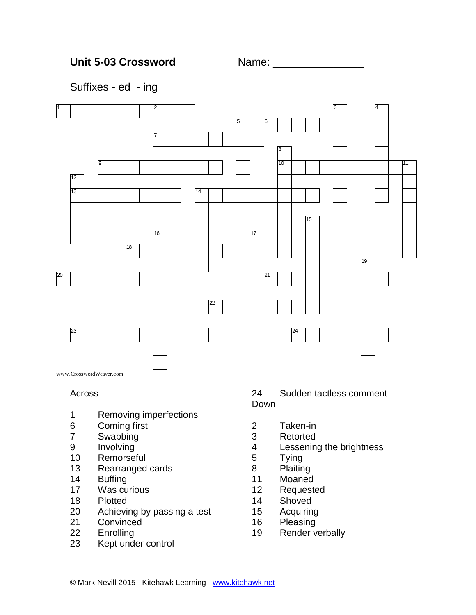# Unit 5-03 Crossword Name:

Suffixes - ed - ing



www.CrosswordWeaver.com

#### Across

- Removing imperfections
- Coming first
- Swabbing
- Involving
- Remorseful
- 13 Rearranged cards<br>14 Buffing
- **Buffing**
- Was curious
- Plotted
- Achieving by passing a test
- 21 Convinced<br>22 Enrolling
- **Enrolling**
- Kept under control

### Sudden tactless comment Down

- Taken-in
- Retorted
- Lessening the brightness
- Tying
- 
- 8 Plaiting<br>11 Moaned Moaned
- Requested
- Shoved
- Acquiring
- Pleasing
- Render verbally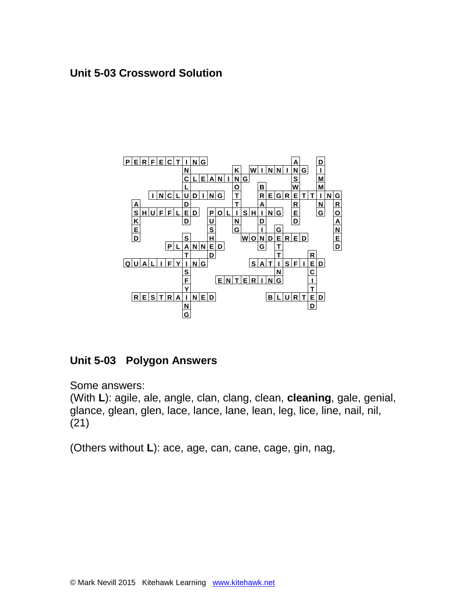# **Unit 5-03 Crossword Solution**



## **Unit 5-03 Polygon Answers**

Some answers:

(With **L**): agile, ale, angle, clan, clang, clean, **cleaning**, gale, genial, glance, glean, glen, lace, lance, lane, lean, leg, lice, line, nail, nil, (21)

(Others without **L**): ace, age, can, cane, cage, gin, nag,